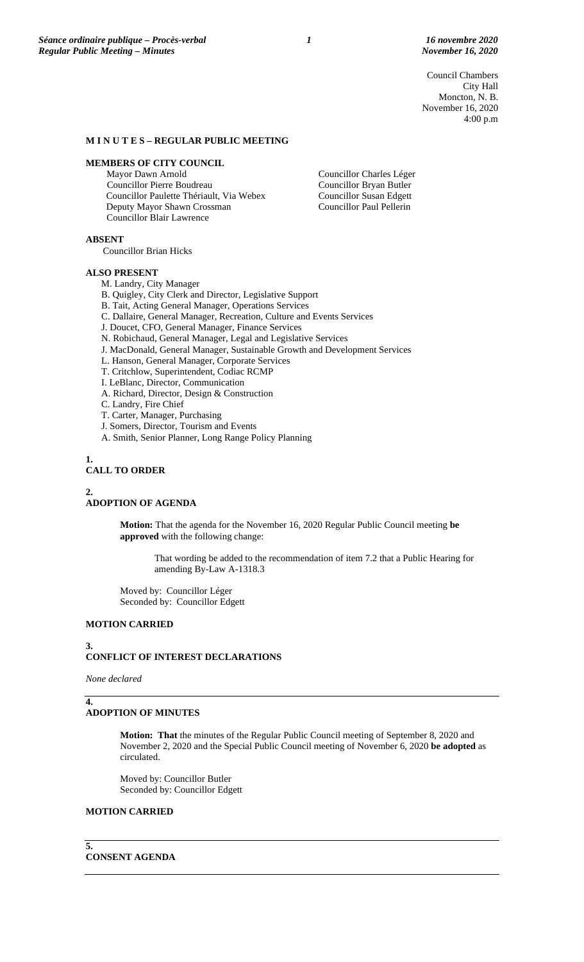Council Chambers City Hall Moncton, N. B. November 16, 2020 4:00 p.m

### **M I N U T E S – REGULAR PUBLIC MEETING**

#### **MEMBERS OF CITY COUNCIL**

Mayor Dawn Arnold Councillor Pierre Boudreau Councillor Paulette Thériault, Via Webex Deputy Mayor Shawn Crossman Councillor Blair Lawrence

Councillor Charles Léger Councillor Bryan Butler Councillor Susan Edgett Councillor Paul Pellerin

**ABSENT**

Councillor Brian Hicks

#### **ALSO PRESENT**

M. Landry, City Manager

- B. Quigley, City Clerk and Director, Legislative Support
- B. Tait, Acting General Manager, Operations Services

C. Dallaire, General Manager, Recreation, Culture and Events Services

- J. Doucet, CFO, General Manager, Finance Services
- N. Robichaud, General Manager, Legal and Legislative Services
- J. MacDonald, General Manager, Sustainable Growth and Development Services
- L. Hanson, General Manager, Corporate Services
- T. Critchlow, Superintendent, Codiac RCMP

I. LeBlanc, Director, Communication

- A. Richard, Director, Design & Construction
- C. Landry, Fire Chief
- T. Carter, Manager, Purchasing
- J. Somers, Director, Tourism and Events
- A. Smith, Senior Planner, Long Range Policy Planning

#### **1.**

### **CALL TO ORDER**

#### **2.**

**ADOPTION OF AGENDA**

**Motion:** That the agenda for the November 16, 2020 Regular Public Council meeting **be approved** with the following change:

That wording be added to the recommendation of item 7.2 that a Public Hearing for amending By-Law A-1318.3

Moved by: Councillor Léger Seconded by: Councillor Edgett

# **MOTION CARRIED**

### **3. CONFLICT OF INTEREST DECLARATIONS**

*None declared*

**4.**

### **ADOPTION OF MINUTES**

**Motion: That** the minutes of the Regular Public Council meeting of September 8, 2020 and November 2, 2020 and the Special Public Council meeting of November 6, 2020 **be adopted** as circulated.

Moved by: Councillor Butler Seconded by: Councillor Edgett

# **MOTION CARRIED**

**5. CONSENT AGENDA**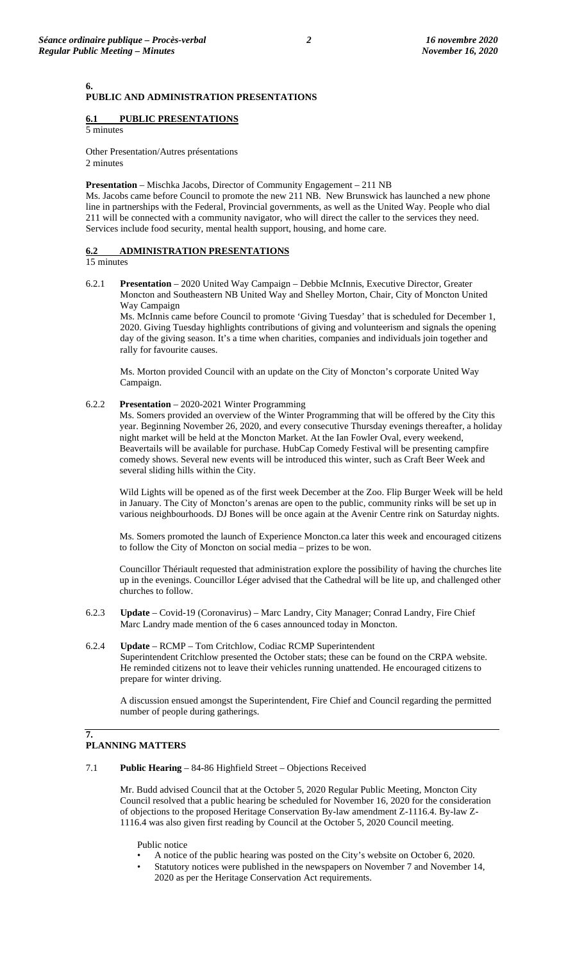**PUBLIC AND ADMINISTRATION PRESENTATIONS**

# **6.1 PUBLIC PRESENTATIONS**

5 minutes

**6.**

Other Presentation/Autres présentations 2 minutes

**Presentation** – Mischka Jacobs, Director of Community Engagement – 211 NB

Ms. Jacobs came before Council to promote the new 211 NB. New Brunswick has launched a new phone line in partnerships with the Federal, Provincial governments, as well as the United Way. People who dial 211 will be connected with a community navigator, who will direct the caller to the services they need. Services include food security, mental health support, housing, and home care.

# **6.2 ADMINISTRATION PRESENTATIONS**

15 minutes

6.2.1 **Presentation** – 2020 United Way Campaign – Debbie McInnis, Executive Director, Greater Moncton and Southeastern NB United Way and Shelley Morton, Chair, City of Moncton United Way Campaign

Ms. McInnis came before Council to promote 'Giving Tuesday' that is scheduled for December 1, 2020. Giving Tuesday highlights contributions of giving and volunteerism and signals the opening day of the giving season. It's a time when charities, companies and individuals join together and rally for favourite causes.

Ms. Morton provided Council with an update on the City of Moncton's corporate United Way Campaign.

6.2.2 **Presentation** – 2020-2021 Winter Programming

Ms. Somers provided an overview of the Winter Programming that will be offered by the City this year. Beginning November 26, 2020, and every consecutive Thursday evenings thereafter, a holiday night market will be held at the Moncton Market. At the Ian Fowler Oval, every weekend, Beavertails will be available for purchase. HubCap Comedy Festival will be presenting campfire comedy shows. Several new events will be introduced this winter, such as Craft Beer Week and several sliding hills within the City.

Wild Lights will be opened as of the first week December at the Zoo. Flip Burger Week will be held in January. The City of Moncton's arenas are open to the public, community rinks will be set up in various neighbourhoods. DJ Bones will be once again at the Avenir Centre rink on Saturday nights.

Ms. Somers promoted the launch of Experience Moncton.ca later this week and encouraged citizens to follow the City of Moncton on social media – prizes to be won.

Councillor Thériault requested that administration explore the possibility of having the churches lite up in the evenings. Councillor Léger advised that the Cathedral will be lite up, and challenged other churches to follow.

- 6.2.3 **Update** Covid-19 (Coronavirus) Marc Landry, City Manager; Conrad Landry, Fire Chief Marc Landry made mention of the 6 cases announced today in Moncton.
- 6.2.4 **Update** RCMP Tom Critchlow, Codiac RCMP Superintendent Superintendent Critchlow presented the October stats; these can be found on the CRPA website. He reminded citizens not to leave their vehicles running unattended. He encouraged citizens to prepare for winter driving.

A discussion ensued amongst the Superintendent, Fire Chief and Council regarding the permitted number of people during gatherings.

#### **7. PLANNING MATTERS**

7.1 **Public Hearing** – 84-86 Highfield Street – Objections Received

Mr. Budd advised Council that at the October 5, 2020 Regular Public Meeting, Moncton City Council resolved that a public hearing be scheduled for November 16, 2020 for the consideration of objections to the proposed Heritage Conservation By-law amendment Z-1116.4. By-law Z-1116.4 was also given first reading by Council at the October 5, 2020 Council meeting.

Public notice

- A notice of the public hearing was posted on the City's website on October 6, 2020.
- Statutory notices were published in the newspapers on November 7 and November 14, 2020 as per the Heritage Conservation Act requirements.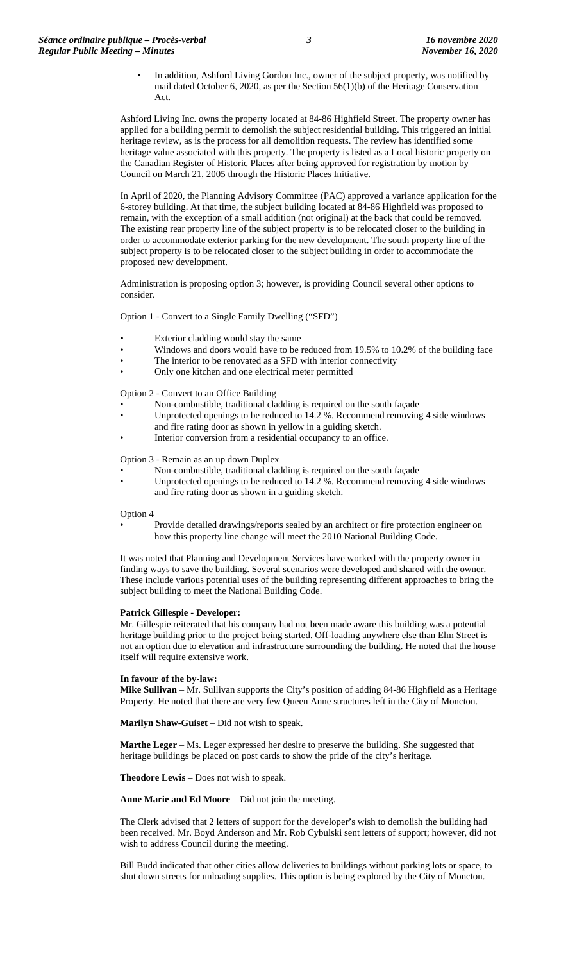In addition, Ashford Living Gordon Inc., owner of the subject property, was notified by mail dated October 6, 2020, as per the Section 56(1)(b) of the Heritage Conservation Act.

Ashford Living Inc. owns the property located at 84-86 Highfield Street. The property owner has applied for a building permit to demolish the subject residential building. This triggered an initial heritage review, as is the process for all demolition requests. The review has identified some heritage value associated with this property. The property is listed as a Local historic property on the Canadian Register of Historic Places after being approved for registration by motion by Council on March 21, 2005 through the Historic Places Initiative.

In April of 2020, the Planning Advisory Committee (PAC) approved a variance application for the 6-storey building. At that time, the subject building located at 84-86 Highfield was proposed to remain, with the exception of a small addition (not original) at the back that could be removed. The existing rear property line of the subject property is to be relocated closer to the building in order to accommodate exterior parking for the new development. The south property line of the subject property is to be relocated closer to the subject building in order to accommodate the proposed new development.

Administration is proposing option 3; however, is providing Council several other options to consider.

Option 1 - Convert to a Single Family Dwelling ("SFD")

- Exterior cladding would stay the same
- Windows and doors would have to be reduced from 19.5% to 10.2% of the building face
- The interior to be renovated as a SFD with interior connectivity
- Only one kitchen and one electrical meter permitted

Option 2 - Convert to an Office Building

- Non-combustible, traditional cladding is required on the south façade
- Unprotected openings to be reduced to 14.2 %. Recommend removing 4 side windows and fire rating door as shown in yellow in a guiding sketch.
- Interior conversion from a residential occupancy to an office.

Option 3 - Remain as an up down Duplex

- Non-combustible, traditional cladding is required on the south façade
- Unprotected openings to be reduced to 14.2 %. Recommend removing 4 side windows and fire rating door as shown in a guiding sketch.

#### Option 4

• Provide detailed drawings/reports sealed by an architect or fire protection engineer on how this property line change will meet the 2010 National Building Code.

It was noted that Planning and Development Services have worked with the property owner in finding ways to save the building. Several scenarios were developed and shared with the owner. These include various potential uses of the building representing different approaches to bring the subject building to meet the National Building Code.

#### **Patrick Gillespie - Developer:**

Mr. Gillespie reiterated that his company had not been made aware this building was a potential heritage building prior to the project being started. Off-loading anywhere else than Elm Street is not an option due to elevation and infrastructure surrounding the building. He noted that the house itself will require extensive work.

#### **In favour of the by-law:**

**Mike Sullivan** – Mr. Sullivan supports the City's position of adding 84-86 Highfield as a Heritage Property. He noted that there are very few Queen Anne structures left in the City of Moncton.

**Marilyn Shaw-Guiset** – Did not wish to speak.

Marthe Leger - Ms. Leger expressed her desire to preserve the building. She suggested that heritage buildings be placed on post cards to show the pride of the city's heritage.

**Theodore Lewis** – Does not wish to speak.

**Anne Marie and Ed Moore** – Did not join the meeting.

The Clerk advised that 2 letters of support for the developer's wish to demolish the building had been received. Mr. Boyd Anderson and Mr. Rob Cybulski sent letters of support; however, did not wish to address Council during the meeting.

Bill Budd indicated that other cities allow deliveries to buildings without parking lots or space, to shut down streets for unloading supplies. This option is being explored by the City of Moncton.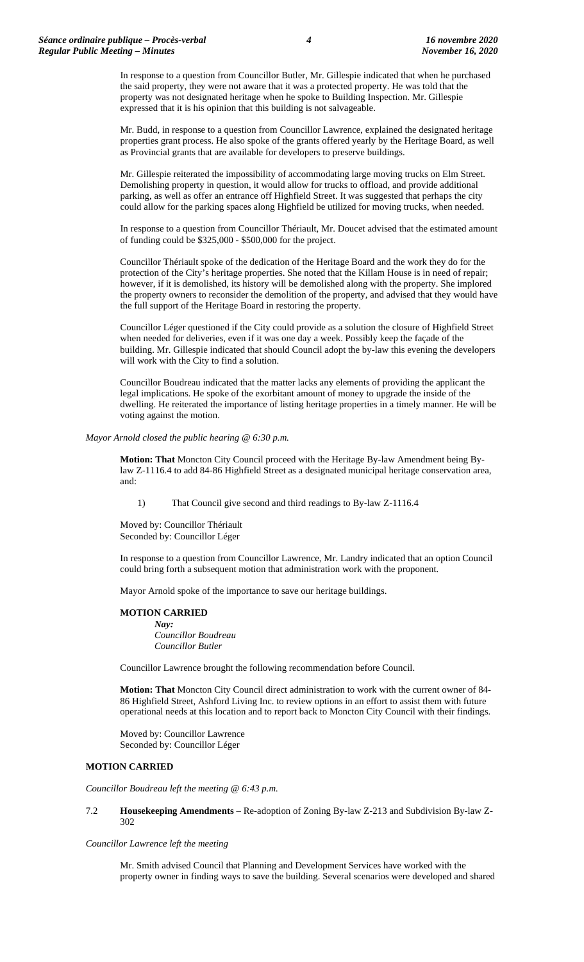In response to a question from Councillor Butler, Mr. Gillespie indicated that when he purchased the said property, they were not aware that it was a protected property. He was told that the property was not designated heritage when he spoke to Building Inspection. Mr. Gillespie expressed that it is his opinion that this building is not salvageable.

Mr. Budd, in response to a question from Councillor Lawrence, explained the designated heritage properties grant process. He also spoke of the grants offered yearly by the Heritage Board, as well as Provincial grants that are available for developers to preserve buildings.

Mr. Gillespie reiterated the impossibility of accommodating large moving trucks on Elm Street. Demolishing property in question, it would allow for trucks to offload, and provide additional parking, as well as offer an entrance off Highfield Street. It was suggested that perhaps the city could allow for the parking spaces along Highfield be utilized for moving trucks, when needed.

In response to a question from Councillor Thériault, Mr. Doucet advised that the estimated amount of funding could be \$325,000 - \$500,000 for the project.

Councillor Thériault spoke of the dedication of the Heritage Board and the work they do for the protection of the City's heritage properties. She noted that the Killam House is in need of repair; however, if it is demolished, its history will be demolished along with the property. She implored the property owners to reconsider the demolition of the property, and advised that they would have the full support of the Heritage Board in restoring the property.

Councillor Léger questioned if the City could provide as a solution the closure of Highfield Street when needed for deliveries, even if it was one day a week. Possibly keep the façade of the building. Mr. Gillespie indicated that should Council adopt the by-law this evening the developers will work with the City to find a solution.

Councillor Boudreau indicated that the matter lacks any elements of providing the applicant the legal implications. He spoke of the exorbitant amount of money to upgrade the inside of the dwelling. He reiterated the importance of listing heritage properties in a timely manner. He will be voting against the motion.

*Mayor Arnold closed the public hearing @ 6:30 p.m.*

**Motion: That** Moncton City Council proceed with the Heritage By-law Amendment being Bylaw Z-1116.4 to add 84-86 Highfield Street as a designated municipal heritage conservation area, and:

1) That Council give second and third readings to By-law Z-1116.4

Moved by: Councillor Thériault Seconded by: Councillor Léger

In response to a question from Councillor Lawrence, Mr. Landry indicated that an option Council could bring forth a subsequent motion that administration work with the proponent.

Mayor Arnold spoke of the importance to save our heritage buildings.

#### **MOTION CARRIED**

*Nay: Councillor Boudreau Councillor Butler*

Councillor Lawrence brought the following recommendation before Council.

**Motion: That** Moncton City Council direct administration to work with the current owner of 84- 86 Highfield Street, Ashford Living Inc. to review options in an effort to assist them with future operational needs at this location and to report back to Moncton City Council with their findings.

Moved by: Councillor Lawrence Seconded by: Councillor Léger

### **MOTION CARRIED**

*Councillor Boudreau left the meeting @ 6:43 p.m.*

7.2 **Housekeeping Amendments** – Re-adoption of Zoning By-law Z-213 and Subdivision By-law Z-302

### *Councillor Lawrence left the meeting*

Mr. Smith advised Council that Planning and Development Services have worked with the property owner in finding ways to save the building. Several scenarios were developed and shared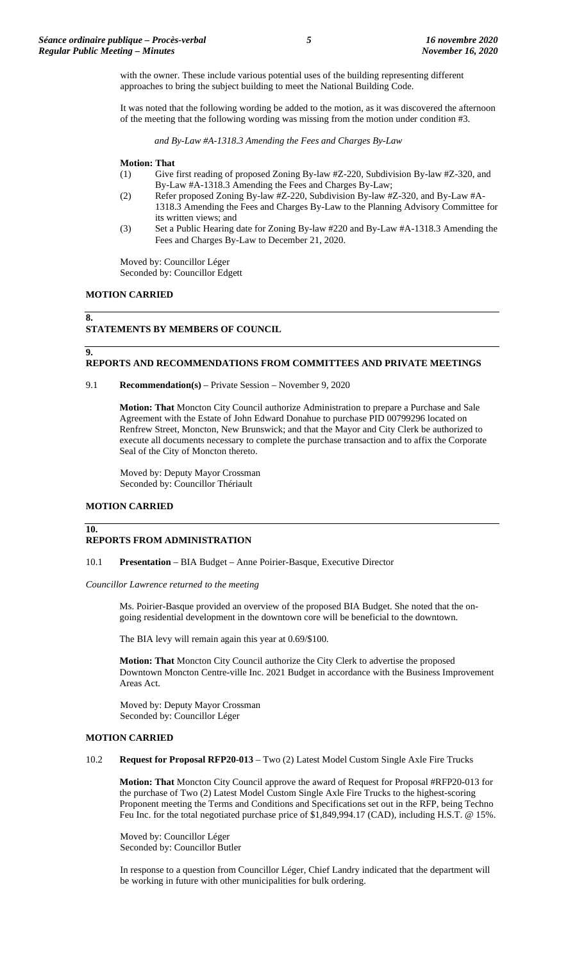with the owner. These include various potential uses of the building representing different approaches to bring the subject building to meet the National Building Code.

It was noted that the following wording be added to the motion, as it was discovered the afternoon of the meeting that the following wording was missing from the motion under condition #3.

*and By-Law #A-1318.3 Amending the Fees and Charges By-Law*

### **Motion: That**

- (1) Give first reading of proposed Zoning By-law #Z-220, Subdivision By-law #Z-320, and By-Law #A-1318.3 Amending the Fees and Charges By-Law;
- (2) Refer proposed Zoning By-law #Z-220, Subdivision By-law #Z-320, and By-Law #A-
	- 1318.3 Amending the Fees and Charges By-Law to the Planning Advisory Committee for its written views; and
- (3) Set a Public Hearing date for Zoning By-law #220 and By-Law #A-1318.3 Amending the Fees and Charges By-Law to December 21, 2020.

Moved by: Councillor Léger Seconded by: Councillor Edgett

### **MOTION CARRIED**

# **STATEMENTS BY MEMBERS OF COUNCIL**

### **REPORTS AND RECOMMENDATIONS FROM COMMITTEES AND PRIVATE MEETINGS**

9.1 **Recommendation(s)** – Private Session – November 9, 2020

**Motion: That** Moncton City Council authorize Administration to prepare a Purchase and Sale Agreement with the Estate of John Edward Donahue to purchase PID 00799296 located on Renfrew Street, Moncton, New Brunswick; and that the Mayor and City Clerk be authorized to execute all documents necessary to complete the purchase transaction and to affix the Corporate Seal of the City of Moncton thereto.

Moved by: Deputy Mayor Crossman Seconded by: Councillor Thériault

## **MOTION CARRIED**

#### **10.**

**8.**

**9.**

#### **REPORTS FROM ADMINISTRATION**

10.1 **Presentation** – BIA Budget – Anne Poirier-Basque, Executive Director

*Councillor Lawrence returned to the meeting*

Ms. Poirier-Basque provided an overview of the proposed BIA Budget. She noted that the ongoing residential development in the downtown core will be beneficial to the downtown.

The BIA levy will remain again this year at 0.69/\$100.

**Motion: That** Moncton City Council authorize the City Clerk to advertise the proposed Downtown Moncton Centre-ville Inc. 2021 Budget in accordance with the Business Improvement Areas Act.

Moved by: Deputy Mayor Crossman Seconded by: Councillor Léger

#### **MOTION CARRIED**

10.2 **Request for Proposal RFP20-013** – Two (2) Latest Model Custom Single Axle Fire Trucks

**Motion: That** Moncton City Council approve the award of Request for Proposal #RFP20-013 for the purchase of Two (2) Latest Model Custom Single Axle Fire Trucks to the highest-scoring Proponent meeting the Terms and Conditions and Specifications set out in the RFP, being Techno Feu Inc. for the total negotiated purchase price of \$1,849,994.17 (CAD), including H.S.T. @ 15%.

Moved by: Councillor Léger Seconded by: Councillor Butler

In response to a question from Councillor Léger, Chief Landry indicated that the department will be working in future with other municipalities for bulk ordering.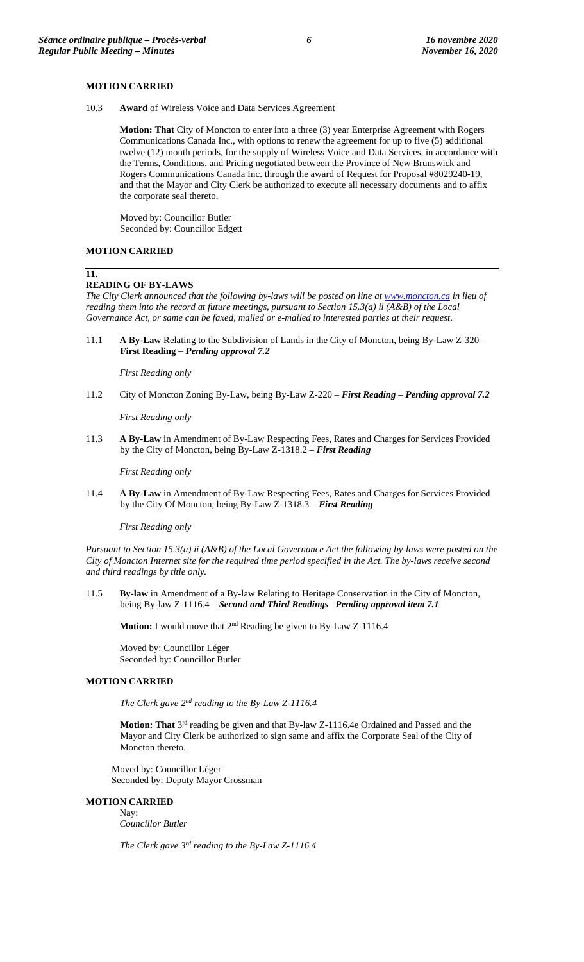## **MOTION CARRIED**

10.3 **Award** of Wireless Voice and Data Services Agreement

**Motion: That** City of Moncton to enter into a three (3) year Enterprise Agreement with Rogers Communications Canada Inc., with options to renew the agreement for up to five (5) additional twelve (12) month periods, for the supply of Wireless Voice and Data Services, in accordance with the Terms, Conditions, and Pricing negotiated between the Province of New Brunswick and Rogers Communications Canada Inc. through the award of Request for Proposal #8029240-19, and that the Mayor and City Clerk be authorized to execute all necessary documents and to affix the corporate seal thereto.

Moved by: Councillor Butler Seconded by: Councillor Edgett

# **MOTION CARRIED**

# **11.**

### **READING OF BY-LAWS**

*The City Clerk announced that the following by-laws will be posted on line a[t www.moncton.ca](http://www.moncton.ca/) in lieu of reading them into the record at future meetings, pursuant to Section 15.3(a) ii (A&B) of the Local Governance Act, or same can be faxed, mailed or e-mailed to interested parties at their request*.

11.1 **A By-Law** Relating to the Subdivision of Lands in the City of Moncton, being By-Law Z-320 – **First Reading** – *Pending approval 7.2*

*First Reading only*

11.2 City of Moncton Zoning By-Law, being By-Law Z-220 – *First Reading* – *Pending approval 7.2*

*First Reading only*

11.3 **A By-Law** in Amendment of By-Law Respecting Fees, Rates and Charges for Services Provided by the City of Moncton, being By-Law Z-1318.2 – *First Reading*

*First Reading only*

11.4 **A By-Law** in Amendment of By-Law Respecting Fees, Rates and Charges for Services Provided by the City Of Moncton, being By-Law Z-1318.3 – *First Reading* 

*First Reading only*

*Pursuant to Section 15.3(a) ii (A&B) of the Local Governance Act the following by-laws were posted on the City of Moncton Internet site for the required time period specified in the Act. The by-laws receive second and third readings by title only.*

11.5 **By-law** in Amendment of a By-law Relating to Heritage Conservation in the City of Moncton, being By-law Z-1116.4 – *Second and Third Readings*– *Pending approval item 7.1*

**Motion:** I would move that 2nd Reading be given to By-Law Z-1116.4

Moved by: Councillor Léger Seconded by: Councillor Butler

#### **MOTION CARRIED**

*The Clerk gave 2nd reading to the By-Law Z-1116.4*

**Motion: That** 3rd reading be given and that By-law Z-1116.4e Ordained and Passed and the Mayor and City Clerk be authorized to sign same and affix the Corporate Seal of the City of Moncton thereto.

Moved by: Councillor Léger Seconded by: Deputy Mayor Crossman

### **MOTION CARRIED**

Nay: *Councillor Butler*

*The Clerk gave 3rd reading to the By-Law Z-1116.4*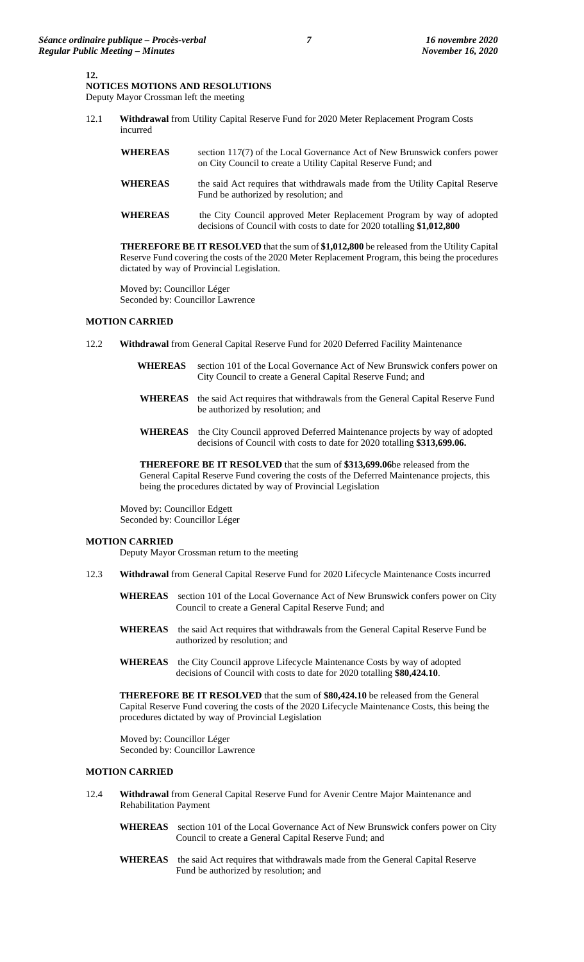# **12.**

**NOTICES MOTIONS AND RESOLUTIONS** Deputy Mayor Crossman left the meeting

12.1 **Withdrawal** from Utility Capital Reserve Fund for 2020 Meter Replacement Program Costs incurred

| <b>WHEREAS</b> | section 117(7) of the Local Governance Act of New Brunswick confers power<br>on City Council to create a Utility Capital Reserve Fund; and      |
|----------------|-------------------------------------------------------------------------------------------------------------------------------------------------|
| <b>WHEREAS</b> | the said Act requires that withdrawals made from the Utility Capital Reserve<br>Fund be authorized by resolution; and                           |
| <b>WHEREAS</b> | the City Council approved Meter Replacement Program by way of adopted<br>decisions of Council with costs to date for 2020 totalling \$1,012,800 |

**THEREFORE BE IT RESOLVED** that the sum of **\$1,012,800** be released from the Utility Capital Reserve Fund covering the costs of the 2020 Meter Replacement Program, this being the procedures dictated by way of Provincial Legislation.

Moved by: Councillor Léger Seconded by: Councillor Lawrence

### **MOTION CARRIED**

12.2 **Withdrawal** from General Capital Reserve Fund for 2020 Deferred Facility Maintenance

| <b>WHEREAS</b> | section 101 of the Local Governance Act of New Brunswick confers power on<br>City Council to create a General Capital Reserve Fund; and               |
|----------------|-------------------------------------------------------------------------------------------------------------------------------------------------------|
| <b>WHEREAS</b> | the said Act requires that withdrawals from the General Capital Reserve Fund<br>be authorized by resolution; and                                      |
| <b>WHEREAS</b> | the City Council approved Deferred Maintenance projects by way of adopted<br>decisions of Council with costs to date for 2020 totalling \$313,699.06. |

**THEREFORE BE IT RESOLVED** that the sum of **\$313,699.06**be released from the General Capital Reserve Fund covering the costs of the Deferred Maintenance projects, this being the procedures dictated by way of Provincial Legislation

Moved by: Councillor Edgett Seconded by: Councillor Léger

### **MOTION CARRIED**

Deputy Mayor Crossman return to the meeting

- 12.3 **Withdrawal** from General Capital Reserve Fund for 2020 Lifecycle Maintenance Costs incurred
	- **WHEREAS** section 101 of the Local Governance Act of New Brunswick confers power on City Council to create a General Capital Reserve Fund; and
	- **WHEREAS** the said Act requires that withdrawals from the General Capital Reserve Fund be authorized by resolution; and
	- **WHEREAS** the City Council approve Lifecycle Maintenance Costs by way of adopted decisions of Council with costs to date for 2020 totalling **\$80,424.10**.

**THEREFORE BE IT RESOLVED** that the sum of **\$80,424.10** be released from the General Capital Reserve Fund covering the costs of the 2020 Lifecycle Maintenance Costs, this being the procedures dictated by way of Provincial Legislation

Moved by: Councillor Léger Seconded by: Councillor Lawrence

### **MOTION CARRIED**

- 12.4 **Withdrawal** from General Capital Reserve Fund for Avenir Centre Major Maintenance and Rehabilitation Payment
	- **WHEREAS** section 101 of the Local Governance Act of New Brunswick confers power on City Council to create a General Capital Reserve Fund; and
	- **WHEREAS** the said Act requires that withdrawals made from the General Capital Reserve Fund be authorized by resolution; and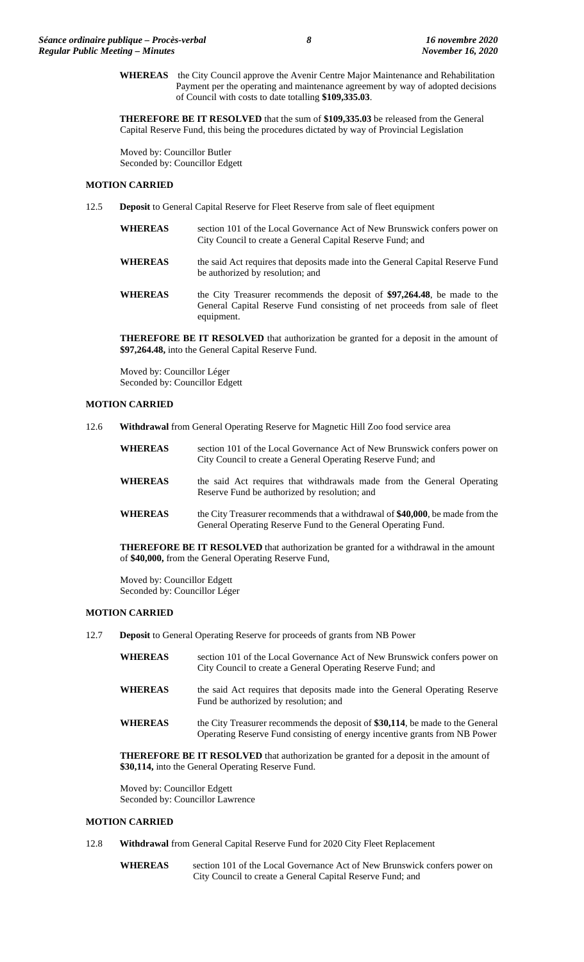**WHEREAS** the City Council approve the Avenir Centre Major Maintenance and Rehabilitation Payment per the operating and maintenance agreement by way of adopted decisions of Council with costs to date totalling **\$109,335.03**.

**THEREFORE BE IT RESOLVED** that the sum of **\$109,335.03** be released from the General Capital Reserve Fund, this being the procedures dictated by way of Provincial Legislation

Moved by: Councillor Butler Seconded by: Councillor Edgett

## **MOTION CARRIED**

12.5 **Deposit** to General Capital Reserve for Fleet Reserve from sale of fleet equipment

| <b>WHEREAS</b> | section 101 of the Local Governance Act of New Brunswick confers power on<br>City Council to create a General Capital Reserve Fund; and                              |
|----------------|----------------------------------------------------------------------------------------------------------------------------------------------------------------------|
| <b>WHEREAS</b> | the said Act requires that deposits made into the General Capital Reserve Fund<br>be authorized by resolution; and                                                   |
| <b>WHEREAS</b> | the City Treasurer recommends the deposit of \$97,264.48, be made to the<br>General Capital Reserve Fund consisting of net proceeds from sale of fleet<br>equipment. |

**THEREFORE BE IT RESOLVED** that authorization be granted for a deposit in the amount of **\$97,264.48,** into the General Capital Reserve Fund.

Moved by: Councillor Léger Seconded by: Councillor Edgett

# **MOTION CARRIED**

12.6 **Withdrawal** from General Operating Reserve for Magnetic Hill Zoo food service area

| <b>WHEREAS</b> | section 101 of the Local Governance Act of New Brunswick confers power on<br>City Council to create a General Operating Reserve Fund; and      |
|----------------|------------------------------------------------------------------------------------------------------------------------------------------------|
| <b>WHEREAS</b> | the said Act requires that withdrawals made from the General Operating<br>Reserve Fund be authorized by resolution; and                        |
| <b>WHEREAS</b> | the City Treasurer recommends that a withdrawal of \$40,000, be made from the<br>General Operating Reserve Fund to the General Operating Fund. |

**THEREFORE BE IT RESOLVED** that authorization be granted for a withdrawal in the amount of **\$40,000,** from the General Operating Reserve Fund,

Moved by: Councillor Edgett Seconded by: Councillor Léger

### **MOTION CARRIED**

- 12.7 **Deposit** to General Operating Reserve for proceeds of grants from NB Power
	- **WHEREAS** section 101 of the Local Governance Act of New Brunswick confers power on City Council to create a General Operating Reserve Fund; and
	- WHEREAS the said Act requires that deposits made into the General Operating Reserve Fund be authorized by resolution; and
	- **WHEREAS** the City Treasurer recommends the deposit of **\$30,114**, be made to the General Operating Reserve Fund consisting of energy incentive grants from NB Power

**THEREFORE BE IT RESOLVED** that authorization be granted for a deposit in the amount of **\$30,114,** into the General Operating Reserve Fund.

Moved by: Councillor Edgett Seconded by: Councillor Lawrence

# **MOTION CARRIED**

- 12.8 **Withdrawal** from General Capital Reserve Fund for 2020 City Fleet Replacement
	- **WHEREAS** section 101 of the Local Governance Act of New Brunswick confers power on City Council to create a General Capital Reserve Fund; and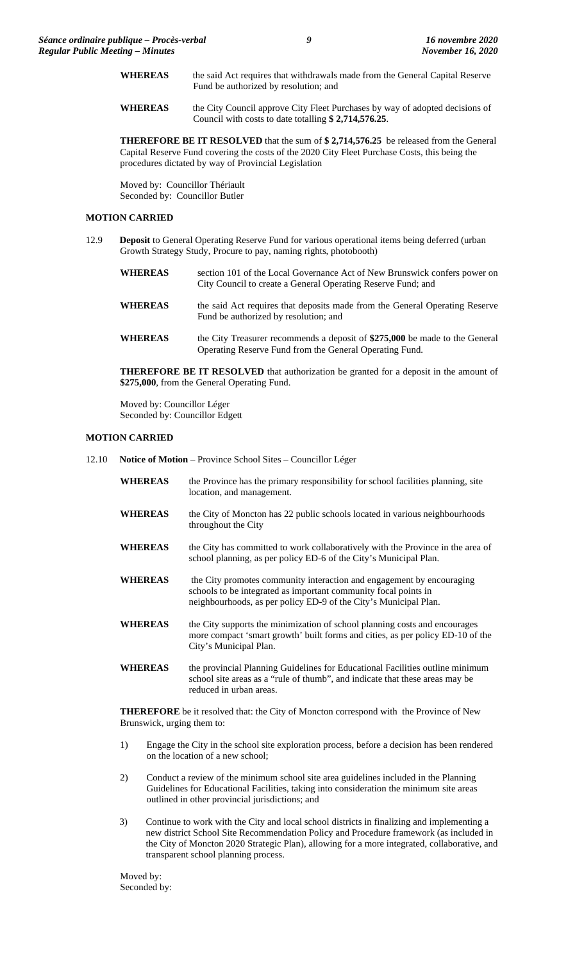- WHEREAS the said Act requires that withdrawals made from the General Capital Reserve Fund be authorized by resolution; and
- WHEREAS the City Council approve City Fleet Purchases by way of adopted decisions of Council with costs to date totalling **\$ 2,714,576.25**.

**THEREFORE BE IT RESOLVED** that the sum of **\$ 2,714,576.25** be released from the General Capital Reserve Fund covering the costs of the 2020 City Fleet Purchase Costs, this being the procedures dictated by way of Provincial Legislation

Moved by: Councillor Thériault Seconded by: Councillor Butler

# **MOTION CARRIED**

12.9 **Deposit** to General Operating Reserve Fund for various operational items being deferred (urban Growth Strategy Study, Procure to pay, naming rights, photobooth)

| <b>WHEREAS</b> | section 101 of the Local Governance Act of New Brunswick confers power on<br>City Council to create a General Operating Reserve Fund; and |
|----------------|-------------------------------------------------------------------------------------------------------------------------------------------|
| <b>WHEREAS</b> | the said Act requires that deposits made from the General Operating Reserve<br>Fund be authorized by resolution; and                      |
| <b>WHEREAS</b> | the City Treasurer recommends a deposit of \$275,000 be made to the General<br>Operating Reserve Fund from the General Operating Fund.    |

**THEREFORE BE IT RESOLVED** that authorization be granted for a deposit in the amount of **\$275,000**, from the General Operating Fund.

Moved by: Councillor Léger Seconded by: Councillor Edgett

### **MOTION CARRIED**

- 12.10 **Notice of Motion**  Province School Sites Councillor Léger
	- WHEREAS the Province has the primary responsibility for school facilities planning, site location, and management.
	- **WHEREAS** the City of Moncton has 22 public schools located in various neighbourhoods throughout the City
	- WHEREAS the City has committed to work collaboratively with the Province in the area of school planning, as per policy ED-6 of the City's Municipal Plan.
	- WHEREAS the City promotes community interaction and engagement by encouraging schools to be integrated as important community focal points in neighbourhoods, as per policy ED-9 of the City's Municipal Plan.
	- WHEREAS the City supports the minimization of school planning costs and encourages more compact 'smart growth' built forms and cities, as per policy ED-10 of the City's Municipal Plan.
	- WHEREAS the provincial Planning Guidelines for Educational Facilities outline minimum school site areas as a "rule of thumb", and indicate that these areas may be reduced in urban areas.

**THEREFORE** be it resolved that: the City of Moncton correspond with the Province of New Brunswick, urging them to:

- 1) Engage the City in the school site exploration process, before a decision has been rendered on the location of a new school;
- 2) Conduct a review of the minimum school site area guidelines included in the Planning Guidelines for Educational Facilities, taking into consideration the minimum site areas outlined in other provincial jurisdictions; and
- 3) Continue to work with the City and local school districts in finalizing and implementing a new district School Site Recommendation Policy and Procedure framework (as included in the City of Moncton 2020 Strategic Plan), allowing for a more integrated, collaborative, and transparent school planning process.

Moved by: Seconded by: